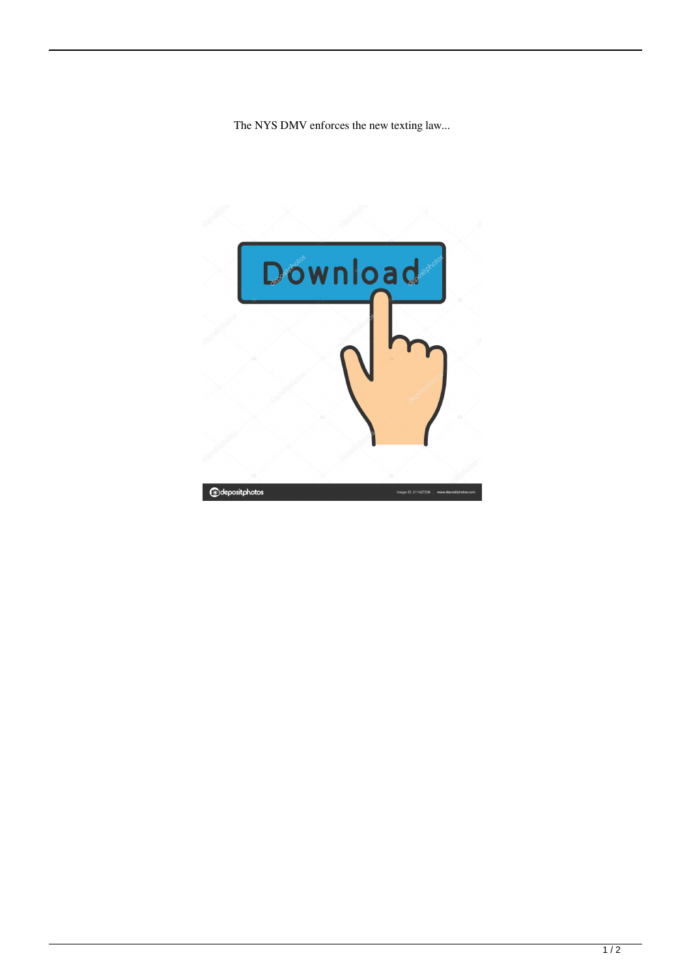The NYS DMV enforces the new texting law...